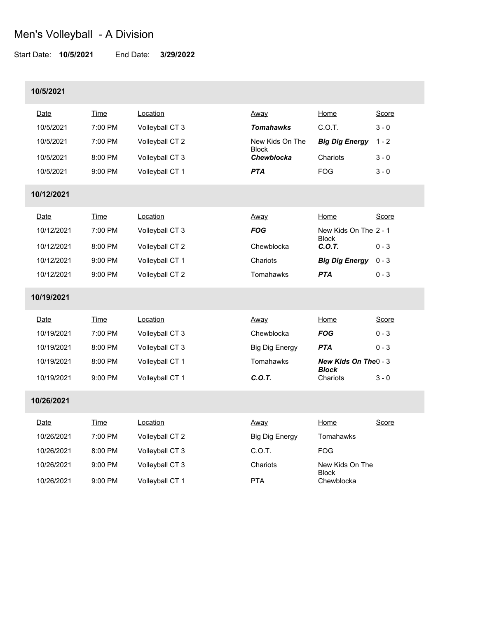Start Date: **10/5/2021** End Date: **3/29/2022**

### **10/5/2021**

| Date        | Time        | Location        | Away                            | Home                                  | Score   |
|-------------|-------------|-----------------|---------------------------------|---------------------------------------|---------|
| 10/5/2021   | 7:00 PM     | Volleyball CT 3 | <b>Tomahawks</b>                | C.O.T.                                | $3 - 0$ |
| 10/5/2021   | 7:00 PM     | Volleyball CT 2 | New Kids On The<br><b>Block</b> | <b>Big Dig Energy</b>                 | $1 - 2$ |
| 10/5/2021   | 8:00 PM     | Volleyball CT 3 | Chewblocka                      | Chariots                              | $3 - 0$ |
| 10/5/2021   | 9:00 PM     | Volleyball CT 1 | <b>PTA</b>                      | <b>FOG</b>                            | $3 - 0$ |
| 10/12/2021  |             |                 |                                 |                                       |         |
| Date        | Time        | Location        | Away                            | Home                                  | Score   |
| 10/12/2021  | 7:00 PM     | Volleyball CT 3 | <b>FOG</b>                      | New Kids On The 2 - 1                 |         |
| 10/12/2021  | 8:00 PM     | Volleyball CT 2 | Chewblocka                      | <b>Block</b><br>C.O.T.                | $0 - 3$ |
| 10/12/2021  | 9:00 PM     | Volleyball CT 1 | Chariots                        | <b>Big Dig Energy</b>                 | $0 - 3$ |
| 10/12/2021  | 9:00 PM     | Volleyball CT 2 | Tomahawks                       | <b>PTA</b>                            | $0 - 3$ |
| 10/19/2021  |             |                 |                                 |                                       |         |
| <b>Date</b> | <b>Time</b> | Location        | Away                            | Home                                  | Score   |
| 10/19/2021  | 7:00 PM     | Volleyball CT 3 | Chewblocka                      | <b>FOG</b>                            | $0 - 3$ |
| 10/19/2021  | 8:00 PM     | Volleyball CT 3 | <b>Big Dig Energy</b>           | <b>PTA</b>                            | $0 - 3$ |
| 10/19/2021  | 8:00 PM     | Volleyball CT 1 | Tomahawks                       | New Kids On The 0 - 3<br><b>Block</b> |         |
| 10/19/2021  | 9:00 PM     | Volleyball CT 1 | C.O.T.                          | Chariots                              | $3 - 0$ |
| 10/26/2021  |             |                 |                                 |                                       |         |
| Date        | <b>Time</b> | Location        | Away                            | Home                                  | Score   |
| 10/26/2021  | 7:00 PM     | Volleyball CT 2 | <b>Big Dig Energy</b>           | Tomahawks                             |         |
| 10/26/2021  | 8:00 PM     | Volleyball CT 3 | C.O.T.                          | <b>FOG</b>                            |         |
| 10/26/2021  | 9:00 PM     | Volleyball CT 3 | Chariots                        | New Kids On The<br><b>Block</b>       |         |
| 10/26/2021  | 9:00 PM     | Volleyball CT 1 | <b>PTA</b>                      | Chewblocka                            |         |
|             |             |                 |                                 |                                       |         |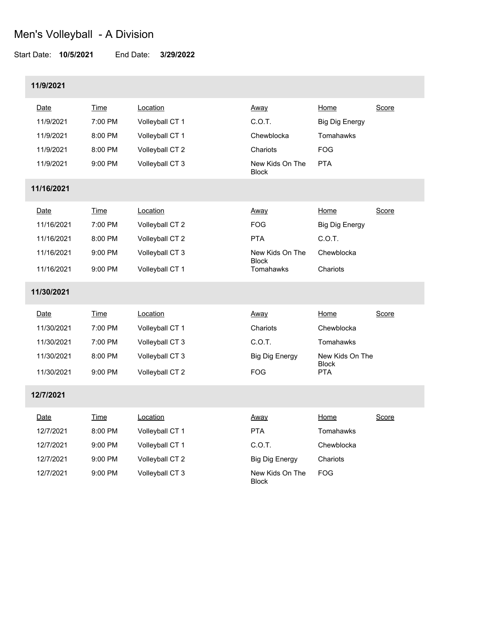#### Start Date: **10/5/2021** End Date: **3/29/2022**

## **11/9/2021**

| Date       | <b>Time</b> | Location        | Away                            | Home                       | Score |
|------------|-------------|-----------------|---------------------------------|----------------------------|-------|
| 11/9/2021  | 7:00 PM     | Volleyball CT 1 | C.O.T.                          | <b>Big Dig Energy</b>      |       |
| 11/9/2021  | 8:00 PM     | Volleyball CT 1 | Chewblocka                      | Tomahawks                  |       |
| 11/9/2021  | 8:00 PM     | Volleyball CT 2 | Chariots                        | <b>FOG</b>                 |       |
| 11/9/2021  | 9:00 PM     | Volleyball CT 3 | New Kids On The<br><b>Block</b> | <b>PTA</b>                 |       |
| 11/16/2021 |             |                 |                                 |                            |       |
| Date       | <b>Time</b> | Location        | <u>Away</u>                     | Home                       | Score |
| 11/16/2021 | 7:00 PM     | Volleyball CT 2 | <b>FOG</b>                      | <b>Big Dig Energy</b>      |       |
| 11/16/2021 | 8:00 PM     | Volleyball CT 2 | <b>PTA</b>                      | C.O.T.                     |       |
| 11/16/2021 | 9:00 PM     | Volleyball CT 3 | New Kids On The                 | Chewblocka                 |       |
| 11/16/2021 | 9:00 PM     | Volleyball CT 1 | <b>Block</b><br>Tomahawks       | Chariots                   |       |
| 11/30/2021 |             |                 |                                 |                            |       |
| Date       | Time        | Location        | Away                            | Home                       | Score |
| 11/30/2021 | 7:00 PM     | Volleyball CT 1 | Chariots                        | Chewblocka                 |       |
| 11/30/2021 | 7:00 PM     | Volleyball CT 3 | C.O.T.                          | Tomahawks                  |       |
| 11/30/2021 | 8:00 PM     | Volleyball CT 3 | <b>Big Dig Energy</b>           | New Kids On The            |       |
| 11/30/2021 | $9:00$ PM   | Volleyball CT 2 | <b>FOG</b>                      | <b>Block</b><br><b>PTA</b> |       |
| 12/7/2021  |             |                 |                                 |                            |       |
| Date       | <b>Time</b> | Location        | <u>Away</u>                     | Home                       | Score |
| 12/7/2021  | 8:00 PM     | Volleyball CT 1 | <b>PTA</b>                      | Tomahawks                  |       |
| 12/7/2021  | $9:00$ PM   | Volleyball CT 1 | C.O.T.                          | Chewblocka                 |       |
| 12/7/2021  | 9:00 PM     | Volleyball CT 2 | <b>Big Dig Energy</b>           | Chariots                   |       |
| 12/7/2021  | 9:00 PM     | Volleyball CT 3 | New Kids On The<br><b>Block</b> | <b>FOG</b>                 |       |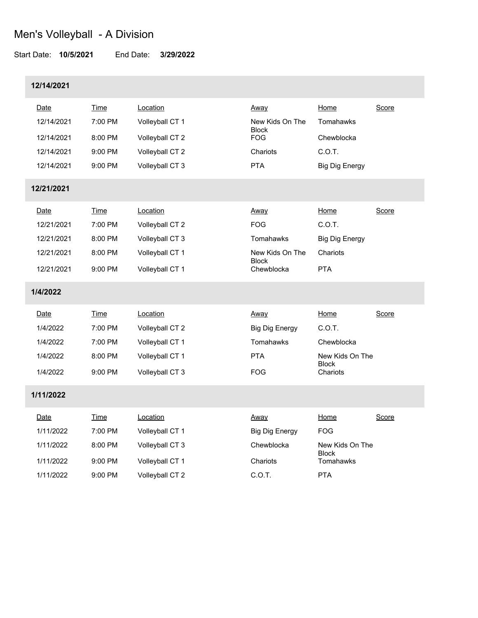#### Start Date: **10/5/2021** End Date: **3/29/2022**

## **12/14/2021**

| Date        | <b>Time</b> | Location        | Away                            | Home                      | Score |
|-------------|-------------|-----------------|---------------------------------|---------------------------|-------|
| 12/14/2021  | 7:00 PM     | Volleyball CT 1 | New Kids On The<br><b>Block</b> | Tomahawks                 |       |
| 12/14/2021  | 8:00 PM     | Volleyball CT 2 | <b>FOG</b>                      | Chewblocka                |       |
| 12/14/2021  | 9:00 PM     | Volleyball CT 2 | Chariots                        | C.O.T.                    |       |
| 12/14/2021  | 9:00 PM     | Volleyball CT 3 | <b>PTA</b>                      | <b>Big Dig Energy</b>     |       |
| 12/21/2021  |             |                 |                                 |                           |       |
| Date        | <b>Time</b> | Location        | Away                            | Home                      | Score |
| 12/21/2021  | 7:00 PM     | Volleyball CT 2 | <b>FOG</b>                      | C.O.T.                    |       |
| 12/21/2021  | 8:00 PM     | Volleyball CT 3 | Tomahawks                       | <b>Big Dig Energy</b>     |       |
| 12/21/2021  | 8:00 PM     | Volleyball CT 1 | New Kids On The                 | Chariots                  |       |
| 12/21/2021  | 9:00 PM     | Volleyball CT 1 | <b>Block</b><br>Chewblocka      | <b>PTA</b>                |       |
| 1/4/2022    |             |                 |                                 |                           |       |
| Date        | Time        | Location        | Away                            | Home                      | Score |
| 1/4/2022    | 7:00 PM     | Volleyball CT 2 | <b>Big Dig Energy</b>           | C.O.T.                    |       |
| 1/4/2022    | 7:00 PM     | Volleyball CT 1 | Tomahawks                       | Chewblocka                |       |
| 1/4/2022    | 8:00 PM     | Volleyball CT 1 | <b>PTA</b>                      | New Kids On The           |       |
| 1/4/2022    | 9:00 PM     | Volleyball CT 3 | <b>FOG</b>                      | <b>Block</b><br>Chariots  |       |
| 1/11/2022   |             |                 |                                 |                           |       |
| <u>Date</u> | Time        | Location        | <u>Away</u>                     | Home                      | Score |
| 1/11/2022   | 7:00 PM     | Volleyball CT 1 | <b>Big Dig Energy</b>           | FOG.                      |       |
| 1/11/2022   | 8:00 PM     | Volleyball CT 3 | Chewblocka                      | New Kids On The           |       |
| 1/11/2022   | 9:00 PM     | Volleyball CT 1 | Chariots                        | <b>Block</b><br>Tomahawks |       |
| 1/11/2022   | 9:00 PM     | Volleyball CT 2 | C.O.T.                          | <b>PTA</b>                |       |
|             |             |                 |                                 |                           |       |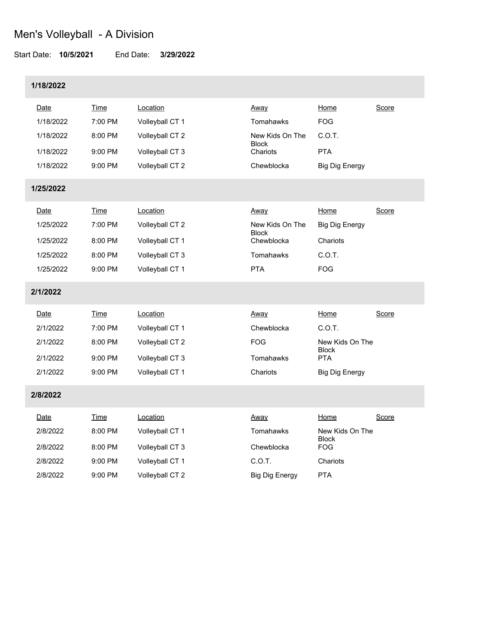#### Start Date: **10/5/2021** End Date: **3/29/2022**

## **1/18/2022**

| Date        | <b>Time</b> | Location        | Away                            | Home                            | Score |
|-------------|-------------|-----------------|---------------------------------|---------------------------------|-------|
| 1/18/2022   | 7:00 PM     | Volleyball CT 1 | Tomahawks                       | <b>FOG</b>                      |       |
| 1/18/2022   | 8:00 PM     | Volleyball CT 2 | New Kids On The<br><b>Block</b> | C.O.T.                          |       |
| 1/18/2022   | 9:00 PM     | Volleyball CT 3 | Chariots                        | <b>PTA</b>                      |       |
| 1/18/2022   | $9:00$ PM   | Volleyball CT 2 | Chewblocka                      | <b>Big Dig Energy</b>           |       |
| 1/25/2022   |             |                 |                                 |                                 |       |
| Date        | <b>Time</b> | Location        | Away                            | Home                            | Score |
| 1/25/2022   | 7:00 PM     | Volleyball CT 2 | New Kids On The                 | <b>Big Dig Energy</b>           |       |
| 1/25/2022   | 8:00 PM     | Volleyball CT 1 | <b>Block</b><br>Chewblocka      | Chariots                        |       |
| 1/25/2022   | 8:00 PM     | Volleyball CT 3 | Tomahawks                       | C.O.T.                          |       |
| 1/25/2022   | 9:00 PM     | Volleyball CT 1 | <b>PTA</b>                      | <b>FOG</b>                      |       |
| 2/1/2022    |             |                 |                                 |                                 |       |
| Date        | <b>Time</b> | Location        | Away                            | Home                            | Score |
| 2/1/2022    | 7:00 PM     | Volleyball CT 1 | Chewblocka                      | C.O.T.                          |       |
| 2/1/2022    | 8:00 PM     | Volleyball CT 2 | <b>FOG</b>                      | New Kids On The<br><b>Block</b> |       |
| 2/1/2022    | 9:00 PM     | Volleyball CT 3 | Tomahawks                       | <b>PTA</b>                      |       |
| 2/1/2022    | 9:00 PM     | Volleyball CT 1 | Chariots                        | <b>Big Dig Energy</b>           |       |
| 2/8/2022    |             |                 |                                 |                                 |       |
| <u>Date</u> | Time        | Location        | Away                            | Home                            | Score |
| 2/8/2022    | 8:00 PM     | Volleyball CT 1 | Tomahawks                       | New Kids On The                 |       |
| 2/8/2022    | 8:00 PM     | Volleyball CT 3 | Chewblocka                      | <b>Block</b><br><b>FOG</b>      |       |
| 2/8/2022    | 9:00 PM     | Volleyball CT 1 | C.O.T.                          | Chariots                        |       |
| 2/8/2022    | 9:00 PM     | Volleyball CT 2 | <b>Big Dig Energy</b>           | <b>PTA</b>                      |       |
|             |             |                 |                                 |                                 |       |